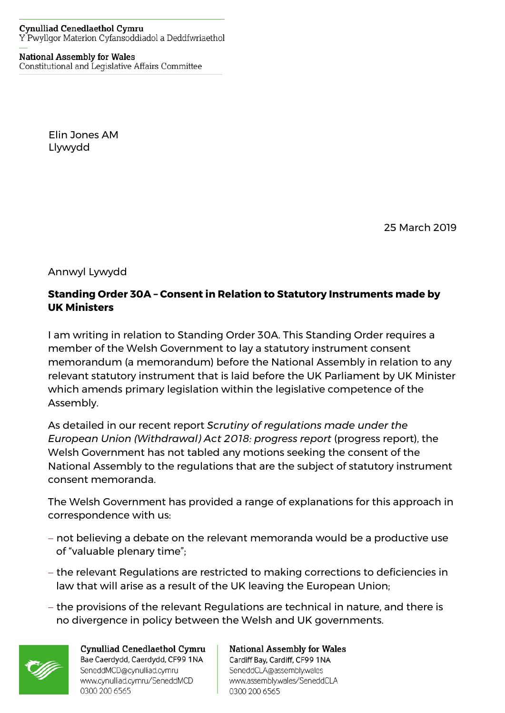## **National Assembly for Wales** Constitutional and Legislative Affairs Committee

Elin Jones AM Llywydd

25 March 2019

Annwyl Lywydd

## **Standing Order 30A – Consent in Relation to Statutory Instruments made by UK Ministers**

I am writing in relation to Standing Order 30A. This Standing Order requires a member of the Welsh Government to lay a statutory instrument consent memorandum (a memorandum) before the National Assembly in relation to any relevant statutory instrument that is laid before the UK Parliament by UK Minister which amends primary legislation within the legislative competence of the Assembly.

As detailed in our recent report *Scrutiny of regulations made under the European Union (Withdrawal) Act 2018: progress report* (progress report), the Welsh Government has not tabled any motions seeking the consent of the National Assembly to the regulations that are the subject of statutory instrument consent memoranda.

The Welsh Government has provided a range of explanations for this approach in correspondence with us:

- − not believing a debate on the relevant memoranda would be a productive use of "valuable plenary time";
- − the relevant Regulations are restricted to making corrections to deficiencies in law that will arise as a result of the UK leaving the European Union;
- − the provisions of the relevant Regulations are technical in nature, and there is no divergence in policy between the Welsh and UK governments.



Cynulliad Cenedlaethol Cymru Bae Caerdydd, Caerdydd, CF99 1NA SeneddMCD@cynulliad.cymru www.cynulliad.cymru/SeneddMCD 0300 200 6565

**National Assembly for Wales** Cardiff Bay, Cardiff, CF99 1NA SeneddCLA@assembly.wales www.assembly.wales/SeneddCLA 0300 200 6565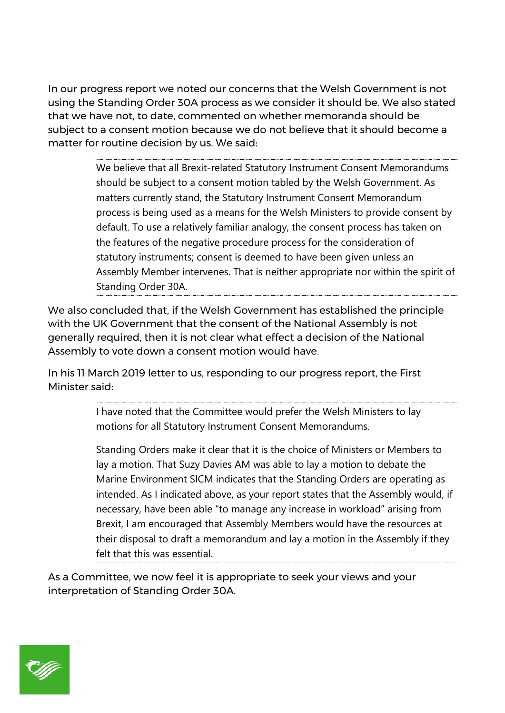In our progress report we noted our concerns that the Welsh Government is not using the Standing Order 30A process as we consider it should be. We also stated that we have not, to date, commented on whether memoranda should be subject to a consent motion because we do not believe that it should become a matter for routine decision by us. We said:

> We believe that all Brexit-related Statutory Instrument Consent Memorandums should be subject to a consent motion tabled by the Welsh Government. As matters currently stand, the Statutory Instrument Consent Memorandum process is being used as a means for the Welsh Ministers to provide consent by default. To use a relatively familiar analogy, the consent process has taken on the features of the negative procedure process for the consideration of statutory instruments; consent is deemed to have been given unless an Assembly Member intervenes. That is neither appropriate nor within the spirit of Standing Order 30A.

We also concluded that, if the Welsh Government has established the principle with the UK Government that the consent of the National Assembly is not generally required, then it is not clear what effect a decision of the National Assembly to vote down a consent motion would have.

In his 11 March 2019 letter to us, responding to our progress report, the First Minister said:

> I have noted that the Committee would prefer the Welsh Ministers to lay motions for all Statutory Instrument Consent Memorandums.

Standing Orders make it clear that it is the choice of Ministers or Members to lay a motion. That Suzy Davies AM was able to lay a motion to debate the Marine Environment SICM indicates that the Standing Orders are operating as intended. As I indicated above, as your report states that the Assembly would, if necessary, have been able "to manage any increase in workload" arising from Brexit, I am encouraged that Assembly Members would have the resources at their disposal to draft a memorandum and lay a motion in the Assembly if they felt that this was essential.

As a Committee, we now feel it is appropriate to seek your views and your interpretation of Standing Order 30A.